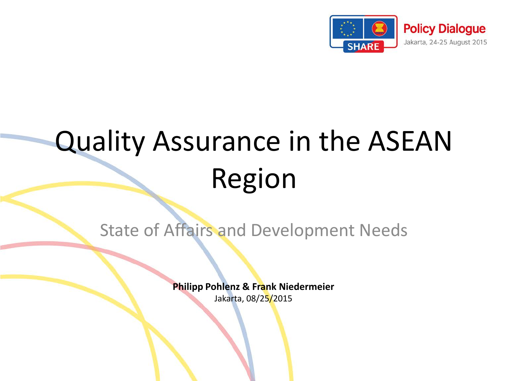

# Quality Assurance in the ASEAN Region

State of Affairs and Development Needs

**Philipp Pohlenz & Frank Niedermeier**

Jakarta, 08/25/2015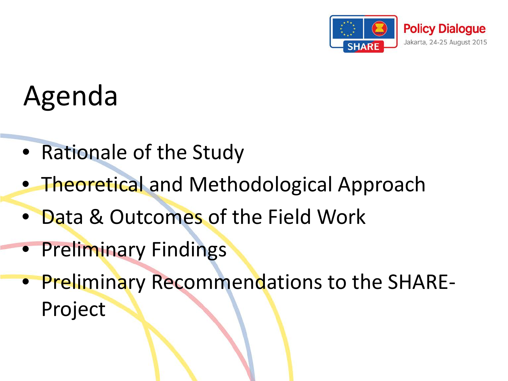

# Agenda

- Rationale of the Study
- Theoretical and Methodological Approach
- Data & Outcomes of the Field Work
- Preliminary Findings
- Preliminary Recommendations to the SHARE-Project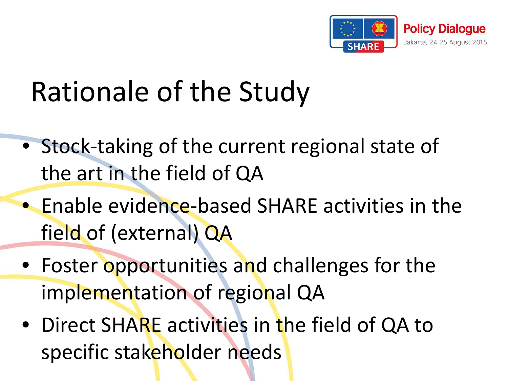

# Rationale of the Study

- Stock-taking of the current regional state of the art in the field of QA
- Enable evidence-based SHARE activities in the field of (external) QA
- Foster opportunities and challenges for the implementation of regional QA
- Direct SHARE activities in the field of QA to specific stakeholder needs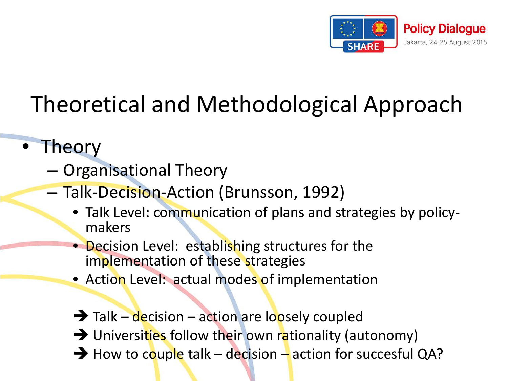

### Theoretical and Methodological Approach

- **Theory** 
	- Organisational Theory
	- Talk-Decision-Action (Brunsson, 1992)
		- Talk Level: communication of plans and strategies by policy- makers
		- Decision Level: establishing structures for the implementation of these strategies
		- Action Level: actual modes of implementation
		- $\rightarrow$  Talk decision action are loosely coupled  $\rightarrow$  Universities follow their own rationality (autonomy)  $\rightarrow$  How to couple talk – decision – action for succesful QA?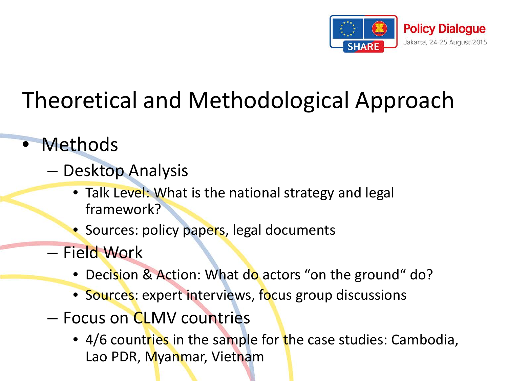

### Theoretical and Methodological Approach

- Methods
	- Desktop Analysis
		- Talk Level: What is the national strategy and legal framework?
		- Sources: policy papers, legal documents
	- Field Work
		- Decision & Action: What do actors "on the ground" do?
		- Sources: expert interviews, focus group discussions
	- Focus on CLMV countries
		- 4/6 countries in the sample for the case studies: Cambodia, Lao PDR, Myanmar, Vietnam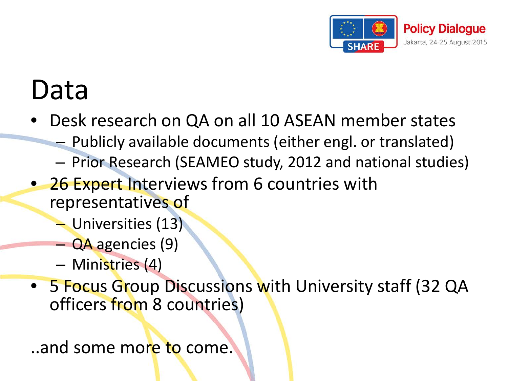

## Data

- Desk research on QA on all 10 ASEAN member states
	- Publicly available documents (either engl. or translated)
	- Prior Research (SEAMEO study, 2012 and national studies)
- 26 Expert Interviews from 6 countries with representatives of
	- Universities (13)
	- QA agencies (9)
	- Ministries (4)
- 5 Focus Group Discussions with University staff (32 QA officers from 8 countries)

..and some more to come.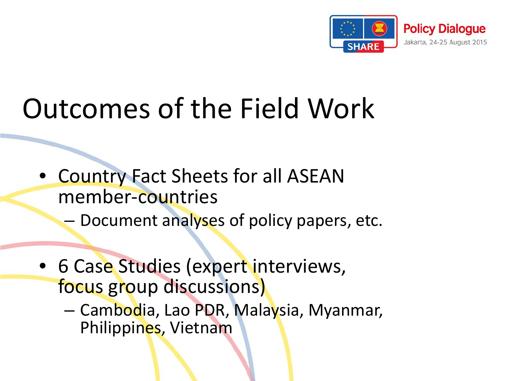

# Outcomes of the Field Work

- Country Fact Sheets for all ASEAN member-countries
	- Document analyses of policy papers, etc.
- 6 Case Studies (expert interviews, focus group discussions)
	- Cambodia, Lao PDR, Malaysia, Myanmar, Philippines, Vietnam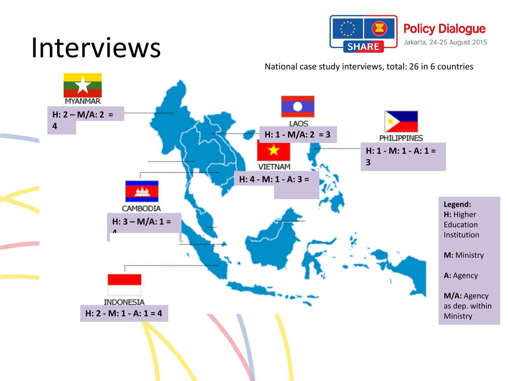## Interviews



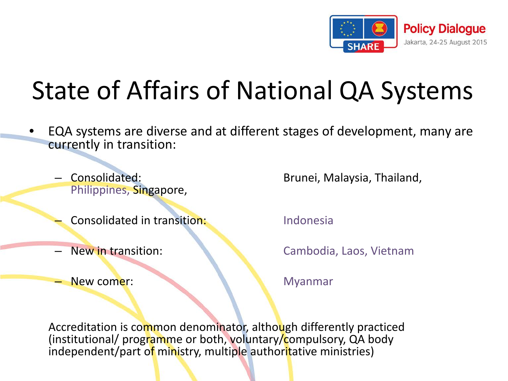

### State of Affairs of National QA Systems

- EQA systems are diverse and at different stages of development, many are currently in transition:
	- Philippines, Singapore,
	- Consolidated in transition: Indonesia
	-
	- **New comer:** Myanmar

– Consolidated: Brunei, Malaysia, Thailand,

– New in transition: Cambodia, Laos, Vietnam

Accreditation is common denominator, although differently practiced (institutional/ programme or both, voluntary/compulsory, QA body independent/part of ministry, multiple authoritative ministries)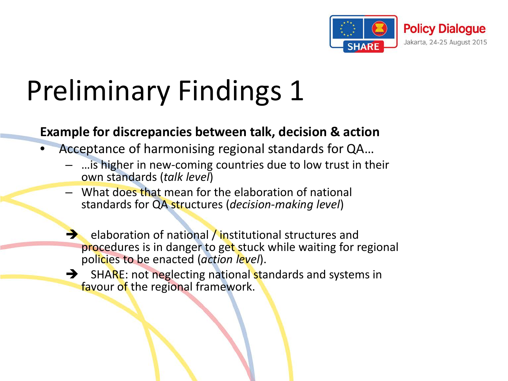

#### **Example for discrepancies between talk, decision & action**

- Acceptance of harmonising regional standards for QA…
	- …is higher in new-coming countries due to low trust in their own standards (*talk level*)
	- What does that mean for the elaboration of national standards for QA structures (*decision-making level*)
	- elaboration of national / institutional structures and procedures is in danger to get stuck while waiting for regional policies to be enacted (*action level*).
	- $\rightarrow$  SHARE: not neglecting national standards and systems in favour of the regional framework.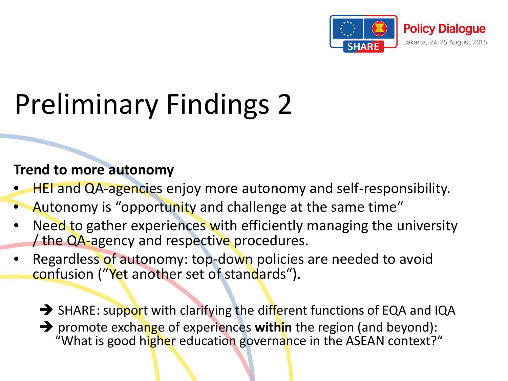

#### **Trend to more autonomy**

- HEI and QA-agencies enjoy more autonomy and self-responsibility.
- Autonomy is "opportunity and challenge at the same time"
- Need to gather experiences with efficiently managing the university the QA-agency and respective procedures.
- Regardless of autonomy: top-down policies are needed to avoid confusion ("Yet another set of standards").
	- SHARE: support with clarifying the different functions of EQA and IQA
	- promote exchange of experiences **within** the region (and beyond): "What is good higher education governance in the ASEAN context?"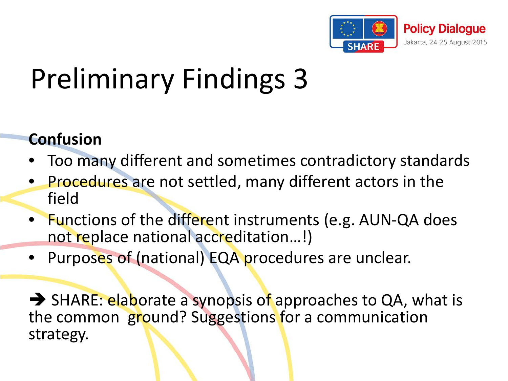

#### **Confusion**

- Too many different and sometimes contradictory standards
- Procedures are not settled, many different actors in the field
- Functions of the different instruments (e.g. AUN-QA does not replace national accreditation...!)
- Purposes of (national) EQA procedures are unclear.

SHARE: elaborate a synopsis of approaches to QA, what is the common ground? Suggestions for a communication strategy.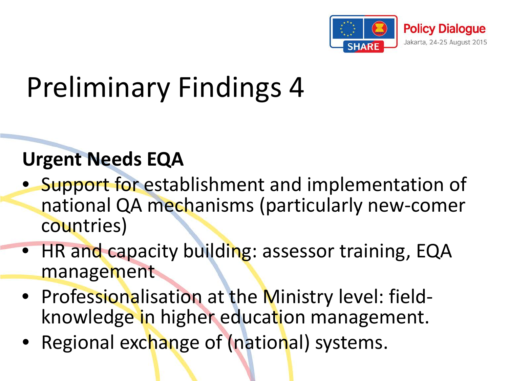

#### **Urgent Needs EQA**

- Support for establishment and implementation of national QA mechanisms (particularly new-comer countries)
- HR and capacity building: assessor training, EQA management
- Professionalisation at the Ministry level: field-<br>knowledge in higher education management.
- Regional exchange of (national) systems.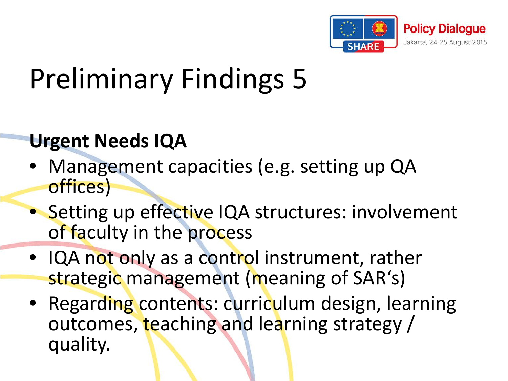

#### **Urgent Needs IQA**

- Management capacities (e.g. setting up QA offices)
- Setting up effective IQA structures: involvement of faculty in the process
- IQA not only as a control instrument, rather strategic management (meaning of SAR's)
- Regarding contents: curriculum design, learning outcomes, teaching and learning strategy / quality.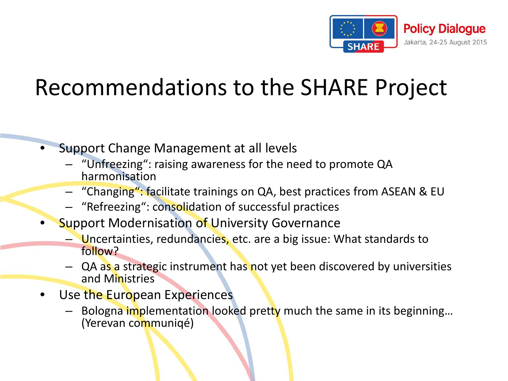

#### Recommendations to the SHARE Project

- Support Change Management at all levels
	- "Unfreezing": raising awareness for the need to promote QA harmonisation
	- "Changing": facilitate trainings on QA, best practices from ASEAN & EU
	- "Refreezing": consolidation of successful practices
- **Support Modernisation of University Governance** 
	- Uncertainties, redundancies, etc. are a big issue: What standards to follow?
	- QA as a strategic instrument has not yet been discovered by universities and Ministries
- Use the European Experiences
	- Bologna implementation looked pretty much the same in its beginning...<br>(Yerevan communiqé)